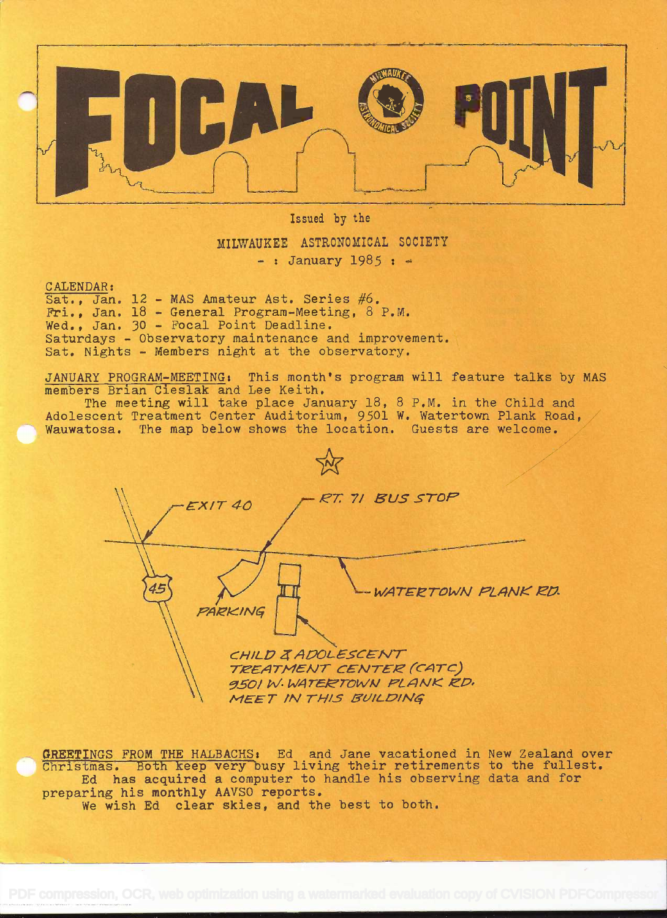

Issued by the

MILWAUKEE ASTRONOMICAL SOCIETY

-: January 1985:  $\approx$ 

CALENDAR:

Sat., Jan. 12 - MAS Amateur Ast. Series #6. Fri., Jan. 18 - General Program-Meeting, 8 P.M. Wed., Jan. 30 - Focal Point Deadline. Saturdays - Observatory maintenance and improvement. Sat. Nights - Members night at the observatory.

JANUARY PROGRAM-MEETING: This month's program will feature talks by MAS members Brian Cieslak and Lee Keith.

The meeting will take place January 18, 8 P.M. in the Child and Adolescent Treatment Center Auditorium, 9501 W. Watertown Plank Road, Wauwatosa. The map below shows the location. Guests are welcome.

RT. 71 BUS STOP **EXIT 40** WATERTOWN PLANK RD. PARKING CHILD ZADOLESCENT TREATMENT CENTER (CATC) 9501 W. WATERTOWN PLANK RD. MEET IN THIS BUILDING

GREETINGS FROM THE HALBACHS: Ed and Jane vacationed in New Zealand over Christmas. Both keep very busy living their retirements to the fullest. Ed has acquired a computer to handle his observing data and for preparing his monthly AAVSO reports. We wish Ed clear skies, and the best to both.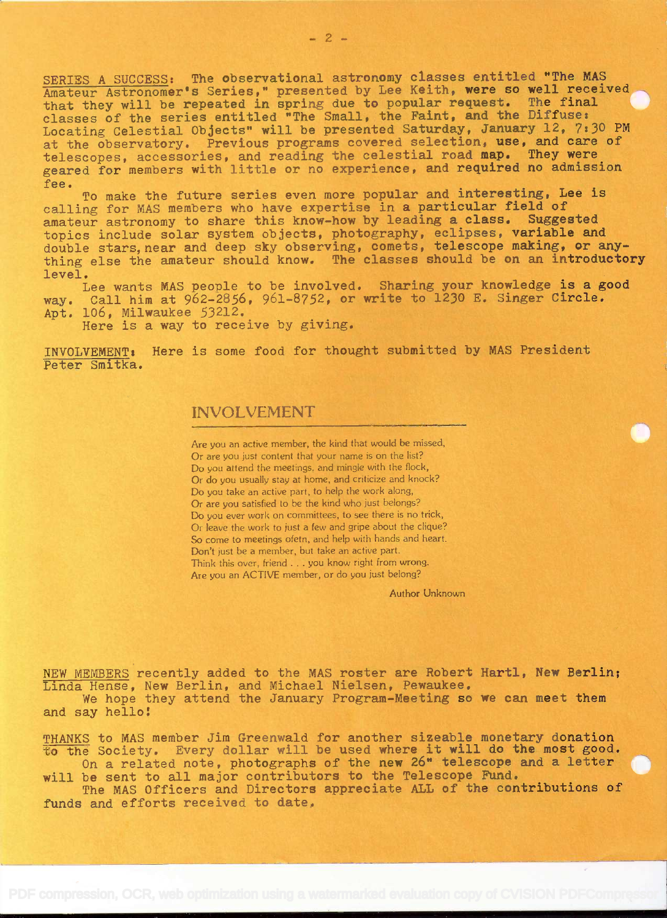SERIES A SUCCESS: The observational astronomy classes entitled 'The MAS Amateur Astronomer's Series," presented by Lee Keith, were so well received that they will be repeated in spring due to popular request. The final classes of the series entitled "The Small, the Faint, and the Diffuse: Locating Celestial Objects" will be presented Saturday, January 12, 7:30 PM at the observatory. Previous programs covered selection, use, and care of telescopes, accessories, and reading the celestial road map. They were geared for members with little or no experience, and required no admission fee.

To make the future series even more popular and interesting, Lee is calling for MAS members who have expertise in a particular field of amateur astronomy to share this know-how by leading a class. Suggested topics include solar system objects, photography, eclipses, variable and double stars, near and deep sky observing, comets, telescope making, or anything else the amateur should know. The classes should be on an introductory level.

Lee wants MAS people to be involved. Sharing your knowledge is a good way. Call him at 962-2856, 961-8752, or write to 1230 E. Singer Circle. Apt. 106, Milwaukee 53212.

Here is a way to receive by giving.

INVOLVEMENT: Here is some food for thought submitted by MAS President Peter Smitka.

## INVOLVEMENT

Are you an active member, the kind that would be missed, Or are you just content that your name is on the list? Do you attend the meetings. and mingle with the flock, Or do you usually stay at home, and criticize and knock? Do you take an active part, to help the work along, Or are you satisfied to be the kind who just belongs? Do you ever work on committees, to see there is no trick, Or leave the work to just a few and gripe about the clique? So come to meetinqs ofetn, and help with hands and heart. Don't just be a member, but take an active part. Think this over, friend . . . you know right from wrong. Are you an ACTIVE member, or do you just belong?

Author Unknown

NEW MEMBERS recently added to the MAS roster are Robert Hartl, New Berlin; Linda Hense, New Berlin, and Michael Nielsen, Pewaukee.

We hope they attend the January Program-Meeting so we can meet them and say hello:

THANKS to MAS member Jim Greenwald for another sizeable monetary donation to the Society. Every dollar will be used where it will do the most good. On a related note, photographs of the new 26" telescope and a letter

will be sent to all major contributors to the Telescope Fund.

The MAS Officers and Directors appreciate ALL of the contributions of funds and efforts received to date.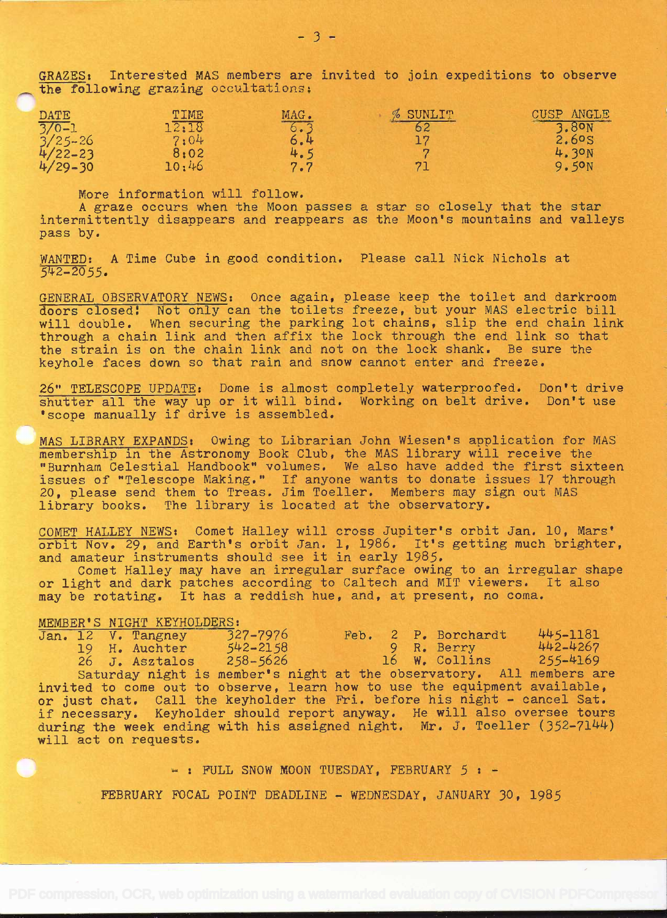GRAZES: Interested MAS members are invited to join expeditions to observe the following grazing occultations.

| <b>DATE</b>                                                                   | TIME  | MAG.              | % SUNLIT | CUSP ANGLE |
|-------------------------------------------------------------------------------|-------|-------------------|----------|------------|
|                                                                               | 12:18 | 6.3               |          | 3.80N      |
|                                                                               | 7:04  |                   |          |            |
|                                                                               | 8:02  | $\frac{4.5}{7.7}$ |          | 4.30N      |
| $\begin{array}{c} 770 - 1 \\ 3/25 - 26 \\ 4/22 - 23 \\ 4/29 - 30 \end{array}$ | 10:46 |                   | 7        | 9.50N      |

More information will follow.

A graze occurs when the Moon passes a star so closely that the star intermittently disappears and reappears as the Moon's mountains and valleys pass by.

WANTED: A Time Cube in good condition. Please call Nick Nichols at  $542 - 2055.$ 

GENERAL OBSERVATORY NEWS: Once again, please keep the toilet and darkroom doors closed! Not only can the toilets freeze, but your MAS electric bill will double. When securing the parking lot chains, slip the end chain link through a chain link and then affix the lock through the end link so that the strain is on the chain link and not on. the lock shank. Be sure the keyhole faces down so that rain and snow cannot enter and freeze.

26" TELESCOPE UPDATE: Dome is almost completely waterproofed. Don't drive shutter all the way up or it will bind. Working on belt drive. Don't use 'scope manually if drive is assembled.

MAS LIBRARY EXPANDS: Owing to Librarian John Wiesen's application for MAS membership in the Astronomy Book Club, the MAS library will receive the "Burnham Celestial Handbook" volumes. We also have added the first sixteen issues of "Telescope Making." If anyone wants to donate issues 17 through 20, please send them to Treas. Jim Toeller, Members may sign out MAS library books. The library is located at the observatory.

COMET HALLEY NEWS: Comet Halley will cross Jupiter's orbit Jan. 10, Mars' orbit Nov. 29, and Earth's orbit Jan. 1, 1986. It's getting much brighter, and amateur instruments should see it in early 1985.

Comet Halley may have an irregular surface owing to an irregular shape or light and dark patches according to Caltech and MIT viewers. It also may be rotating. It has a reddish hue, and, at present, no coma.

## MEMBER'S NIGHT KEYHOLDERS:

|                                                                             |  |  | Jan. 12 V. Tangney | $327 - 7976$                                                             |  |  | Feb. 2 P. Borchardt | 445-1181 |  |  |
|-----------------------------------------------------------------------------|--|--|--------------------|--------------------------------------------------------------------------|--|--|---------------------|----------|--|--|
|                                                                             |  |  | 19 H. Auchter      | $542 - 2158$                                                             |  |  | 9 R. Berry 442-4267 |          |  |  |
|                                                                             |  |  |                    | 26 J. Asztalos 258-5626 16 W. Collins 255-4169                           |  |  |                     |          |  |  |
|                                                                             |  |  |                    | Saturday night is member's night at the observatory. All members are     |  |  |                     |          |  |  |
| invited to come out to observe, learn how to use the equipment available,   |  |  |                    |                                                                          |  |  |                     |          |  |  |
|                                                                             |  |  |                    | or just chat. Call the keyholder the Fri. before his night - cancel Sat. |  |  |                     |          |  |  |
| if necessary. Keyholder should report anyway. He will also oversee tours    |  |  |                    |                                                                          |  |  |                     |          |  |  |
| during the week ending with his assigned night. Mr. J. Toeller $(352-7144)$ |  |  |                    |                                                                          |  |  |                     |          |  |  |
| will act on requests.                                                       |  |  |                    |                                                                          |  |  |                     |          |  |  |

 $-$  : FULL SNOW MOON TUESDAY, FEBRUARY  $5 : -$ 

FEBRUARY FOCAL POINT DEADLINE - WEDNESDAY, JANUARY 30, 1985